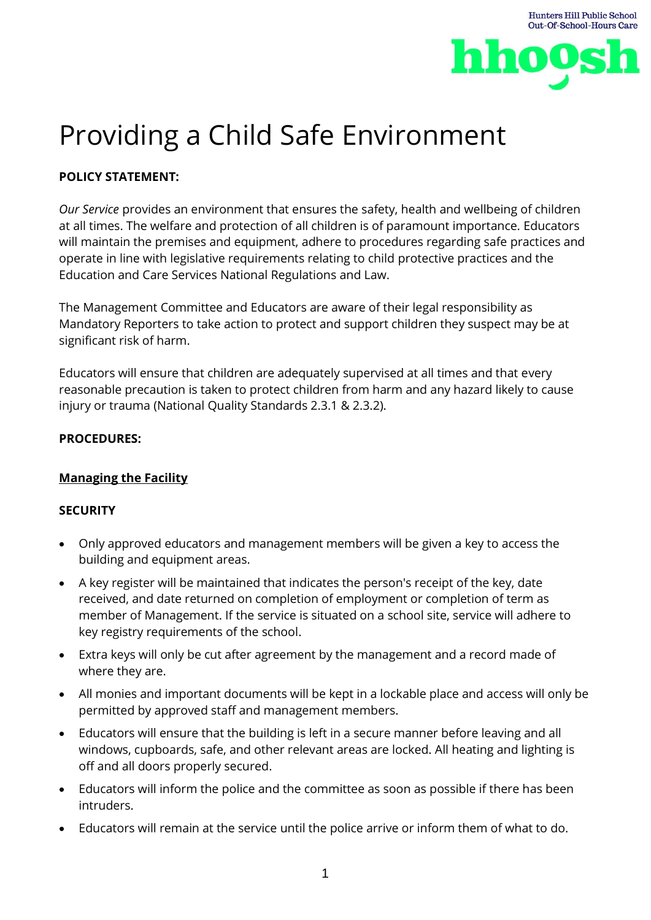

# Providing a Child Safe Environment

## **POLICY STATEMENT:**

*Our Service* provides an environment that ensures the safety, health and wellbeing of children at all times. The welfare and protection of all children is of paramount importance. Educators will maintain the premises and equipment, adhere to procedures regarding safe practices and operate in line with legislative requirements relating to child protective practices and the Education and Care Services National Regulations and Law.

The Management Committee and Educators are aware of their legal responsibility as Mandatory Reporters to take action to protect and support children they suspect may be at significant risk of harm.

Educators will ensure that children are adequately supervised at all times and that every reasonable precaution is taken to protect children from harm and any hazard likely to cause injury or trauma (National Quality Standards 2.3.1 & 2.3.2).

#### **PROCEDURES:**

## **Managing the Facility**

#### **SECURITY**

- Only approved educators and management members will be given a key to access the building and equipment areas.
- A key register will be maintained that indicates the person's receipt of the key, date received, and date returned on completion of employment or completion of term as member of Management. If the service is situated on a school site, service will adhere to key registry requirements of the school.
- Extra keys will only be cut after agreement by the management and a record made of where they are.
- All monies and important documents will be kept in a lockable place and access will only be permitted by approved staff and management members.
- Educators will ensure that the building is left in a secure manner before leaving and all windows, cupboards, safe, and other relevant areas are locked. All heating and lighting is off and all doors properly secured.
- Educators will inform the police and the committee as soon as possible if there has been intruders.
- Educators will remain at the service until the police arrive or inform them of what to do.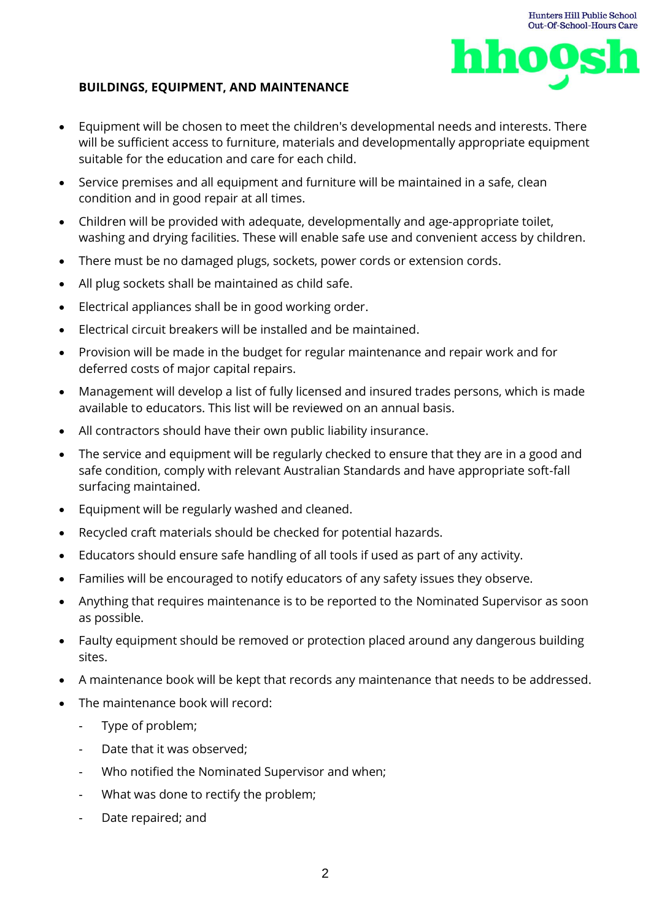

#### **BUILDINGS, EQUIPMENT, AND MAINTENANCE**

- Equipment will be chosen to meet the children's developmental needs and interests. There will be sufficient access to furniture, materials and developmentally appropriate equipment suitable for the education and care for each child.
- Service premises and all equipment and furniture will be maintained in a safe, clean condition and in good repair at all times.
- Children will be provided with adequate, developmentally and age-appropriate toilet, washing and drying facilities. These will enable safe use and convenient access by children.
- There must be no damaged plugs, sockets, power cords or extension cords.
- All plug sockets shall be maintained as child safe.
- Electrical appliances shall be in good working order.
- Electrical circuit breakers will be installed and be maintained.
- Provision will be made in the budget for regular maintenance and repair work and for deferred costs of major capital repairs.
- Management will develop a list of fully licensed and insured trades persons, which is made available to educators. This list will be reviewed on an annual basis.
- All contractors should have their own public liability insurance.
- The service and equipment will be regularly checked to ensure that they are in a good and safe condition, comply with relevant Australian Standards and have appropriate soft-fall surfacing maintained.
- Equipment will be regularly washed and cleaned.
- Recycled craft materials should be checked for potential hazards.
- Educators should ensure safe handling of all tools if used as part of any activity.
- Families will be encouraged to notify educators of any safety issues they observe.
- Anything that requires maintenance is to be reported to the Nominated Supervisor as soon as possible.
- Faulty equipment should be removed or protection placed around any dangerous building sites.
- A maintenance book will be kept that records any maintenance that needs to be addressed.
- The maintenance book will record:
	- Type of problem;
	- Date that it was observed;
	- Who notified the Nominated Supervisor and when;
	- What was done to rectify the problem;
	- Date repaired; and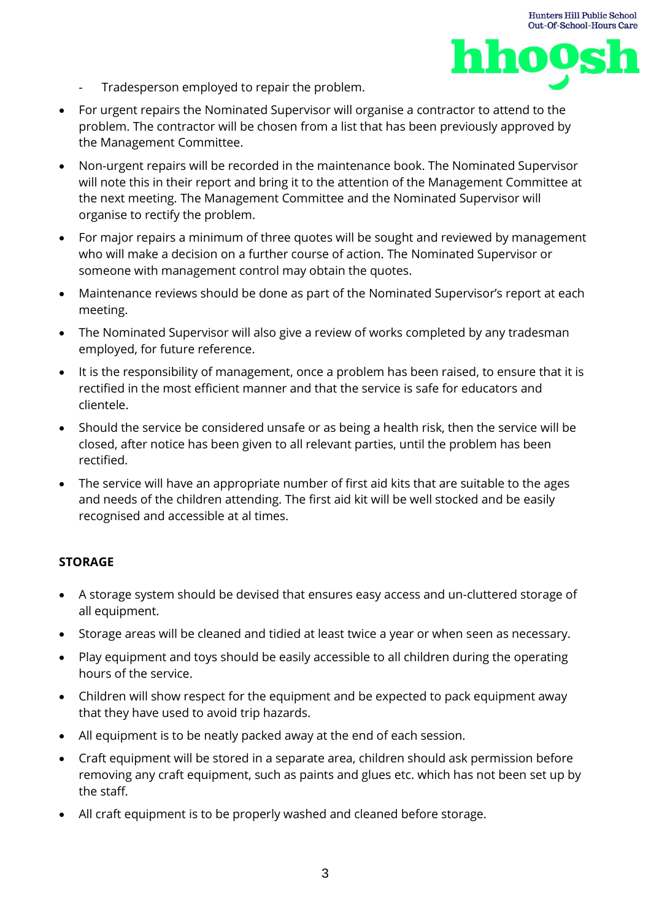



- Tradesperson employed to repair the problem.
- For urgent repairs the Nominated Supervisor will organise a contractor to attend to the problem. The contractor will be chosen from a list that has been previously approved by the Management Committee.
- Non-urgent repairs will be recorded in the maintenance book. The Nominated Supervisor will note this in their report and bring it to the attention of the Management Committee at the next meeting. The Management Committee and the Nominated Supervisor will organise to rectify the problem.
- For major repairs a minimum of three quotes will be sought and reviewed by management who will make a decision on a further course of action. The Nominated Supervisor or someone with management control may obtain the quotes.
- Maintenance reviews should be done as part of the Nominated Supervisor's report at each meeting.
- The Nominated Supervisor will also give a review of works completed by any tradesman employed, for future reference.
- It is the responsibility of management, once a problem has been raised, to ensure that it is rectified in the most efficient manner and that the service is safe for educators and clientele.
- Should the service be considered unsafe or as being a health risk, then the service will be closed, after notice has been given to all relevant parties, until the problem has been rectified.
- The service will have an appropriate number of first aid kits that are suitable to the ages and needs of the children attending. The first aid kit will be well stocked and be easily recognised and accessible at al times.

#### **STORAGE**

- A storage system should be devised that ensures easy access and un-cluttered storage of all equipment.
- Storage areas will be cleaned and tidied at least twice a year or when seen as necessary.
- Play equipment and toys should be easily accessible to all children during the operating hours of the service.
- Children will show respect for the equipment and be expected to pack equipment away that they have used to avoid trip hazards.
- All equipment is to be neatly packed away at the end of each session.
- Craft equipment will be stored in a separate area, children should ask permission before removing any craft equipment, such as paints and glues etc. which has not been set up by the staff.
- All craft equipment is to be properly washed and cleaned before storage.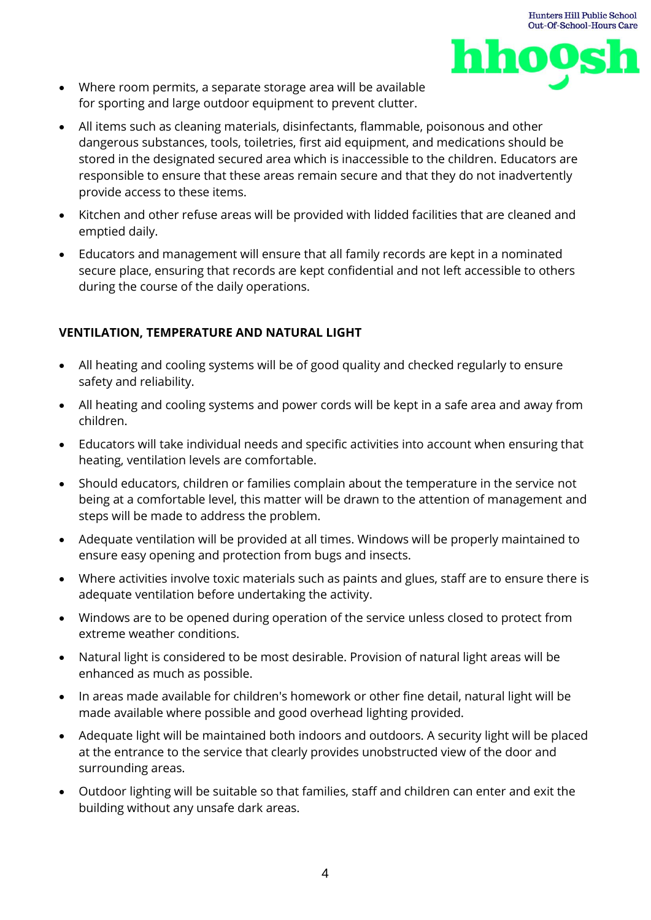



- Where room permits, a separate storage area will be available for sporting and large outdoor equipment to prevent clutter.
- All items such as cleaning materials, disinfectants, flammable, poisonous and other dangerous substances, tools, toiletries, first aid equipment, and medications should be stored in the designated secured area which is inaccessible to the children. Educators are responsible to ensure that these areas remain secure and that they do not inadvertently provide access to these items.
- Kitchen and other refuse areas will be provided with lidded facilities that are cleaned and emptied daily.
- Educators and management will ensure that all family records are kept in a nominated secure place, ensuring that records are kept confidential and not left accessible to others during the course of the daily operations.

## **VENTILATION, TEMPERATURE AND NATURAL LIGHT**

- All heating and cooling systems will be of good quality and checked regularly to ensure safety and reliability.
- All heating and cooling systems and power cords will be kept in a safe area and away from children.
- Educators will take individual needs and specific activities into account when ensuring that heating, ventilation levels are comfortable.
- Should educators, children or families complain about the temperature in the service not being at a comfortable level, this matter will be drawn to the attention of management and steps will be made to address the problem.
- Adequate ventilation will be provided at all times. Windows will be properly maintained to ensure easy opening and protection from bugs and insects.
- Where activities involve toxic materials such as paints and glues, staff are to ensure there is adequate ventilation before undertaking the activity.
- Windows are to be opened during operation of the service unless closed to protect from extreme weather conditions.
- Natural light is considered to be most desirable. Provision of natural light areas will be enhanced as much as possible.
- In areas made available for children's homework or other fine detail, natural light will be made available where possible and good overhead lighting provided.
- Adequate light will be maintained both indoors and outdoors. A security light will be placed at the entrance to the service that clearly provides unobstructed view of the door and surrounding areas.
- Outdoor lighting will be suitable so that families, staff and children can enter and exit the building without any unsafe dark areas.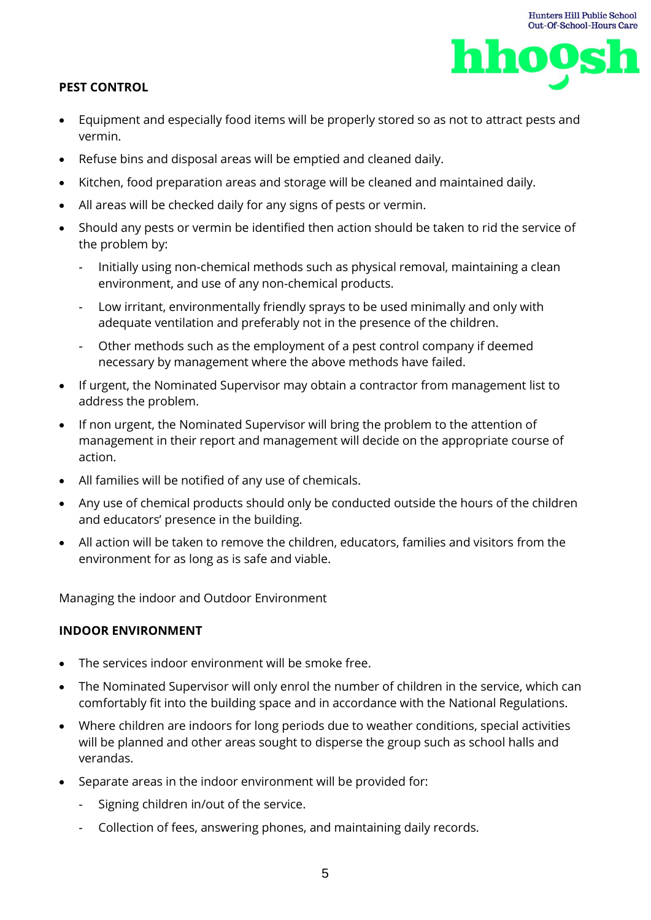

- Equipment and especially food items will be properly stored so as not to attract pests and vermin.
- Refuse bins and disposal areas will be emptied and cleaned daily.
- Kitchen, food preparation areas and storage will be cleaned and maintained daily.
- All areas will be checked daily for any signs of pests or vermin.
- Should any pests or vermin be identified then action should be taken to rid the service of the problem by:
	- Initially using non-chemical methods such as physical removal, maintaining a clean environment, and use of any non-chemical products.
	- Low irritant, environmentally friendly sprays to be used minimally and only with adequate ventilation and preferably not in the presence of the children.
	- Other methods such as the employment of a pest control company if deemed necessary by management where the above methods have failed.
- If urgent, the Nominated Supervisor may obtain a contractor from management list to address the problem.
- If non urgent, the Nominated Supervisor will bring the problem to the attention of management in their report and management will decide on the appropriate course of action.
- All families will be notified of any use of chemicals.
- Any use of chemical products should only be conducted outside the hours of the children and educators' presence in the building.
- All action will be taken to remove the children, educators, families and visitors from the environment for as long as is safe and viable.

Managing the indoor and Outdoor Environment

## **INDOOR ENVIRONMENT**

- The services indoor environment will be smoke free.
- The Nominated Supervisor will only enrol the number of children in the service, which can comfortably fit into the building space and in accordance with the National Regulations.
- Where children are indoors for long periods due to weather conditions, special activities will be planned and other areas sought to disperse the group such as school halls and verandas.
- Separate areas in the indoor environment will be provided for:
	- Signing children in/out of the service.
	- Collection of fees, answering phones, and maintaining daily records.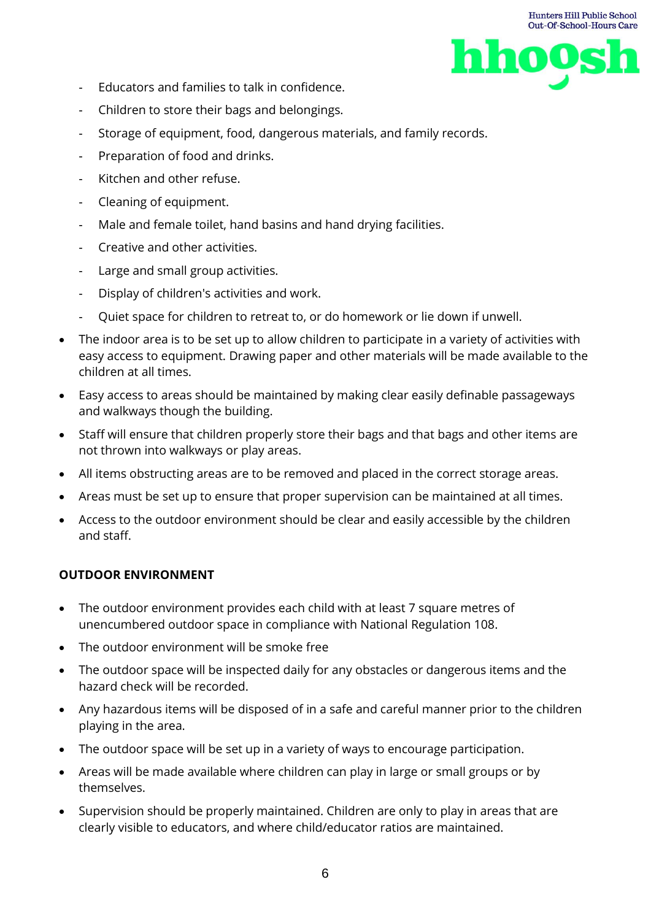

- Educators and families to talk in confidence.
- Children to store their bags and belongings.
- Storage of equipment, food, dangerous materials, and family records.
- Preparation of food and drinks.
- Kitchen and other refuse.
- Cleaning of equipment.
- Male and female toilet, hand basins and hand drying facilities.
- Creative and other activities.
- Large and small group activities.
- Display of children's activities and work.
- Quiet space for children to retreat to, or do homework or lie down if unwell.
- The indoor area is to be set up to allow children to participate in a variety of activities with easy access to equipment. Drawing paper and other materials will be made available to the children at all times.
- Easy access to areas should be maintained by making clear easily definable passageways and walkways though the building.
- Staff will ensure that children properly store their bags and that bags and other items are not thrown into walkways or play areas.
- All items obstructing areas are to be removed and placed in the correct storage areas.
- Areas must be set up to ensure that proper supervision can be maintained at all times.
- Access to the outdoor environment should be clear and easily accessible by the children and staff.

#### **OUTDOOR ENVIRONMENT**

- The outdoor environment provides each child with at least 7 square metres of unencumbered outdoor space in compliance with National Regulation 108.
- The outdoor environment will be smoke free
- The outdoor space will be inspected daily for any obstacles or dangerous items and the hazard check will be recorded.
- Any hazardous items will be disposed of in a safe and careful manner prior to the children playing in the area.
- The outdoor space will be set up in a variety of ways to encourage participation.
- Areas will be made available where children can play in large or small groups or by themselves.
- Supervision should be properly maintained. Children are only to play in areas that are clearly visible to educators, and where child/educator ratios are maintained.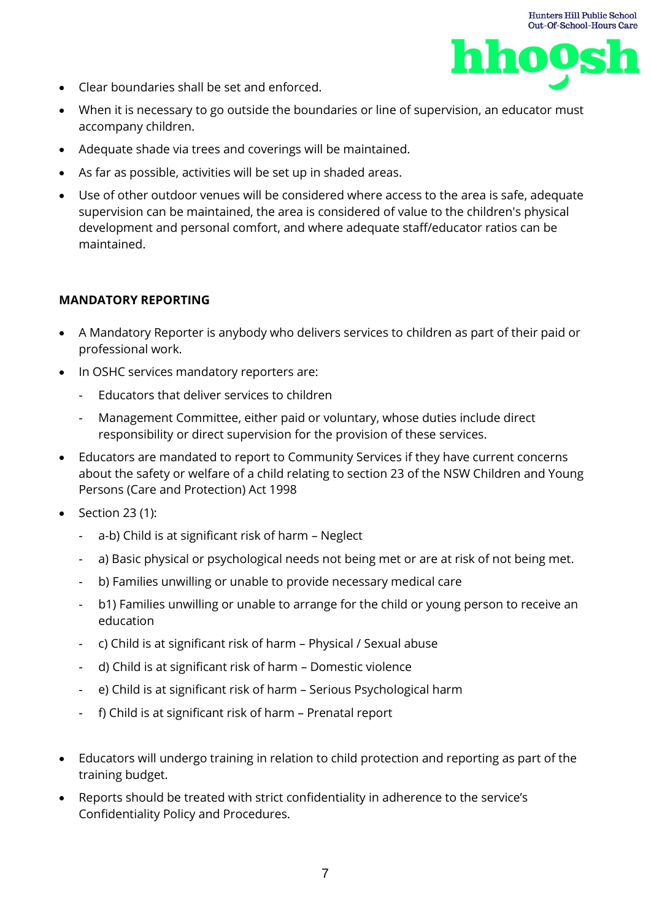



- Clear boundaries shall be set and enforced.
- When it is necessary to go outside the boundaries or line of supervision, an educator must accompany children.
- Adequate shade via trees and coverings will be maintained.
- As far as possible, activities will be set up in shaded areas.
- Use of other outdoor venues will be considered where access to the area is safe, adequate supervision can be maintained, the area is considered of value to the children's physical development and personal comfort, and where adequate staff/educator ratios can be maintained.

#### **MANDATORY REPORTING**

- A Mandatory Reporter is anybody who delivers services to children as part of their paid or professional work.
- In OSHC services mandatory reporters are:
	- Educators that deliver services to children
	- Management Committee, either paid or voluntary, whose duties include direct responsibility or direct supervision for the provision of these services.
- Educators are mandated to report to Community Services if they have current concerns about the safety or welfare of a child relating to section 23 of the NSW Children and Young Persons (Care and Protection) Act 1998
- Section 23 (1):
	- a-b) Child is at significant risk of harm Neglect
	- a) Basic physical or psychological needs not being met or are at risk of not being met.
	- b) Families unwilling or unable to provide necessary medical care
	- b1) Families unwilling or unable to arrange for the child or young person to receive an education
	- c) Child is at significant risk of harm Physical / Sexual abuse
	- d) Child is at significant risk of harm Domestic violence
	- e) Child is at significant risk of harm Serious Psychological harm
	- f) Child is at significant risk of harm Prenatal report
- Educators will undergo training in relation to child protection and reporting as part of the training budget.
- Reports should be treated with strict confidentiality in adherence to the service's Confidentiality Policy and Procedures.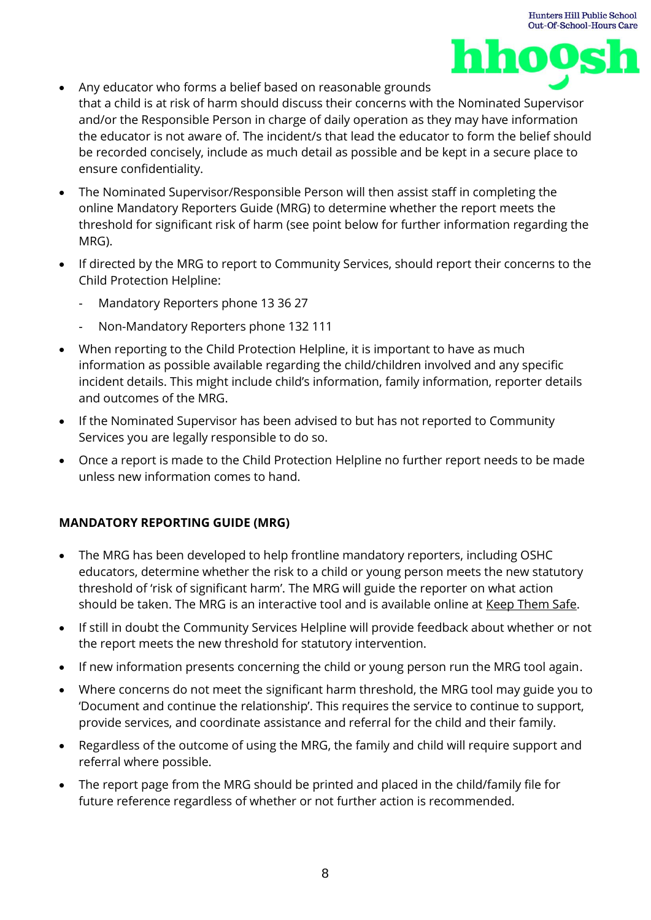

- Any educator who forms a belief based on reasonable grounds that a child is at risk of harm should discuss their concerns with the Nominated Supervisor and/or the Responsible Person in charge of daily operation as they may have information the educator is not aware of. The incident/s that lead the educator to form the belief should be recorded concisely, include as much detail as possible and be kept in a secure place to ensure confidentiality.
- The Nominated Supervisor/Responsible Person will then assist staff in completing the online Mandatory Reporters Guide (MRG) to determine whether the report meets the threshold for significant risk of harm (see point below for further information regarding the MRG).
- If directed by the MRG to report to Community Services, should report their concerns to the Child Protection Helpline:
	- Mandatory Reporters phone 13 36 27
	- Non-Mandatory Reporters phone 132 111
- When reporting to the Child Protection Helpline, it is important to have as much information as possible available regarding the child/children involved and any specific incident details. This might include child's information, family information, reporter details and outcomes of the MRG.
- If the Nominated Supervisor has been advised to but has not reported to Community Services you are legally responsible to do so.
- Once a report is made to the Child Protection Helpline no further report needs to be made unless new information comes to hand.

## **MANDATORY REPORTING GUIDE (MRG)**

- The MRG has been developed to help frontline mandatory reporters, including OSHC educators, determine whether the risk to a child or young person meets the new statutory threshold of 'risk of significant harm'. The MRG will guide the reporter on what action should be taken. The MRG is an interactive tool and is available online at [Keep Them Safe.](http://www.keepthemsafe.nsw.gov.au/)
- If still in doubt the Community Services Helpline will provide feedback about whether or not the report meets the new threshold for statutory intervention.
- If new information presents concerning the child or young person run the MRG tool again.
- Where concerns do not meet the significant harm threshold, the MRG tool may guide you to 'Document and continue the relationship'. This requires the service to continue to support, provide services, and coordinate assistance and referral for the child and their family.
- Regardless of the outcome of using the MRG, the family and child will require support and referral where possible.
- The report page from the MRG should be printed and placed in the child/family file for future reference regardless of whether or not further action is recommended.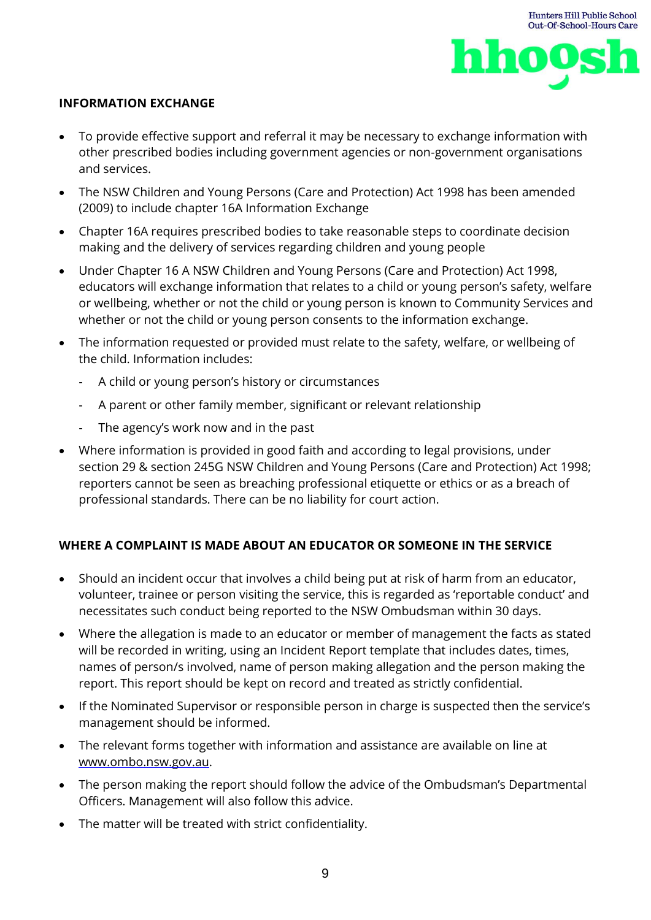

#### **INFORMATION EXCHANGE**

- To provide effective support and referral it may be necessary to exchange information with other prescribed bodies including government agencies or non-government organisations and services.
- The NSW Children and Young Persons (Care and Protection) Act 1998 has been amended (2009) to include chapter 16A Information Exchange
- Chapter 16A requires prescribed bodies to take reasonable steps to coordinate decision making and the delivery of services regarding children and young people
- Under Chapter 16 A NSW Children and Young Persons (Care and Protection) Act 1998, educators will exchange information that relates to a child or young person's safety, welfare or wellbeing, whether or not the child or young person is known to Community Services and whether or not the child or young person consents to the information exchange.
- The information requested or provided must relate to the safety, welfare, or wellbeing of the child. Information includes:
	- A child or young person's history or circumstances
	- A parent or other family member, significant or relevant relationship
	- The agency's work now and in the past
- Where information is provided in good faith and according to legal provisions, under section 29 & section 245G NSW Children and Young Persons (Care and Protection) Act 1998; reporters cannot be seen as breaching professional etiquette or ethics or as a breach of professional standards. There can be no liability for court action.

## **WHERE A COMPLAINT IS MADE ABOUT AN EDUCATOR OR SOMEONE IN THE SERVICE**

- Should an incident occur that involves a child being put at risk of harm from an educator, volunteer, trainee or person visiting the service, this is regarded as 'reportable conduct' and necessitates such conduct being reported to the NSW Ombudsman within 30 days.
- Where the allegation is made to an educator or member of management the facts as stated will be recorded in writing, using an Incident Report template that includes dates, times, names of person/s involved, name of person making allegation and the person making the report. This report should be kept on record and treated as strictly confidential.
- If the Nominated Supervisor or responsible person in charge is suspected then the service's management should be informed.
- The relevant forms together with information and assistance are available on line at [www.ombo.nsw.gov.au.](http://www.ombo.nsw.gov.au/)
- The person making the report should follow the advice of the Ombudsman's Departmental Officers. Management will also follow this advice.
- The matter will be treated with strict confidentiality.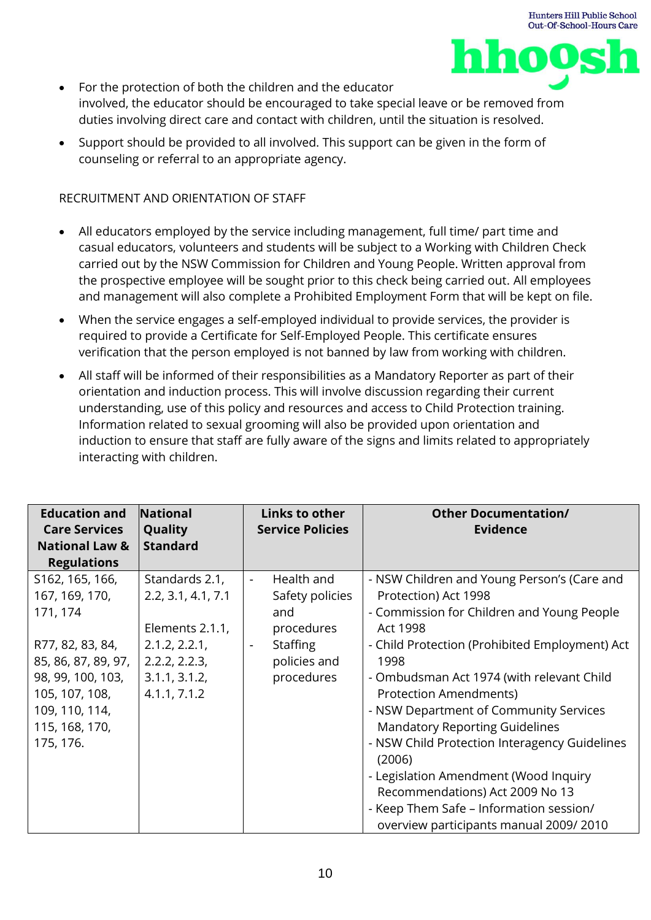



- For the protection of both the children and the educator involved, the educator should be encouraged to take special leave or be removed from duties involving direct care and contact with children, until the situation is resolved.
- Support should be provided to all involved. This support can be given in the form of counseling or referral to an appropriate agency.

#### RECRUITMENT AND ORIENTATION OF STAFF

- All educators employed by the service including management, full time/ part time and casual educators, volunteers and students will be subject to a Working with Children Check carried out by the NSW Commission for Children and Young People. Written approval from the prospective employee will be sought prior to this check being carried out. All employees and management will also complete a Prohibited Employment Form that will be kept on file.
- When the service engages a self-employed individual to provide services, the provider is required to provide a Certificate for Self-Employed People. This certificate ensures verification that the person employed is not banned by law from working with children.
- All staff will be informed of their responsibilities as a Mandatory Reporter as part of their orientation and induction process. This will involve discussion regarding their current understanding, use of this policy and resources and access to Child Protection training. Information related to sexual grooming will also be provided upon orientation and induction to ensure that staff are fully aware of the signs and limits related to appropriately interacting with children.

| <b>Education and</b><br><b>Care Services</b><br><b>National Law &amp;</b><br><b>Regulations</b>                                                                                  | National<br>Quality<br><b>Standard</b>                                                                                     | Links to other<br><b>Service Policies</b>                                                                                                         | <b>Other Documentation/</b><br><b>Evidence</b>                                                                                                                                                                                                                                                                                                                                                                                                                                                                                                                                       |
|----------------------------------------------------------------------------------------------------------------------------------------------------------------------------------|----------------------------------------------------------------------------------------------------------------------------|---------------------------------------------------------------------------------------------------------------------------------------------------|--------------------------------------------------------------------------------------------------------------------------------------------------------------------------------------------------------------------------------------------------------------------------------------------------------------------------------------------------------------------------------------------------------------------------------------------------------------------------------------------------------------------------------------------------------------------------------------|
| S162, 165, 166,<br>167, 169, 170,<br>171, 174<br>R77, 82, 83, 84,<br>85, 86, 87, 89, 97,<br>98, 99, 100, 103,<br>105, 107, 108,<br>109, 110, 114,<br>115, 168, 170,<br>175, 176. | Standards 2.1,<br>2.2, 3.1, 4.1, 7.1<br>Elements 2.1.1,<br>2.1.2, 2.2.1,<br>2.2.2, 2.2.3,<br>3.1.1, 3.1.2,<br>4.1.1, 7.1.2 | Health and<br>$\blacksquare$<br>Safety policies<br>and<br>procedures<br><b>Staffing</b><br>$\overline{\phantom{a}}$<br>policies and<br>procedures | - NSW Children and Young Person's (Care and<br>Protection) Act 1998<br>- Commission for Children and Young People<br>Act 1998<br>- Child Protection (Prohibited Employment) Act<br>1998<br>- Ombudsman Act 1974 (with relevant Child<br><b>Protection Amendments)</b><br>- NSW Department of Community Services<br><b>Mandatory Reporting Guidelines</b><br>- NSW Child Protection Interagency Guidelines<br>(2006)<br>- Legislation Amendment (Wood Inquiry<br>Recommendations) Act 2009 No 13<br>- Keep Them Safe - Information session/<br>overview participants manual 2009/2010 |